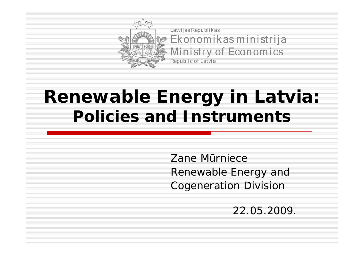

Latvijas Republikas Ekonomikas ministrija Ministry of Economics Republic of Latvia

#### **Renewable Energy in Latvia: Policies and Instruments**

Zane Mūrniece Renewable Energy and Cogeneration Division

22.05.2009.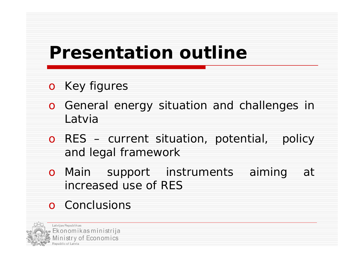## **Presentation outline**

- o Key figures
- o General energy situation and challenges in Latvia
- o RES current situation, potential, policy and legal framework
- o Main support instruments aiming at increased use of RES
- o Conclusions

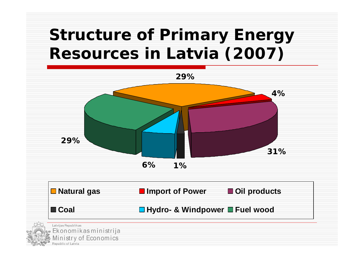#### **Structure of Primary Energy Resources in Latvia (2007)**

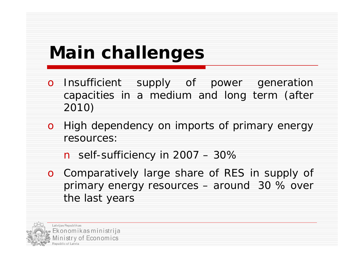# **Main challenges**

- o Insufficient supply of power generation capacities in a medium and long term (after 2010)
- o High dependency on imports of primary energy resources:
	- n self-sufficiency in  $2007 30\%$
- o Comparatively large share of RES in supply of primary energy resources – around 30 % over the last years

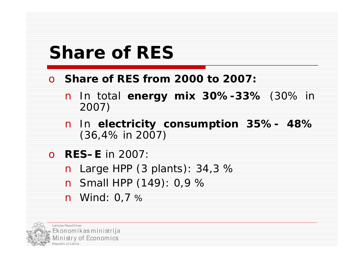### **Share of RES**

- o **Share of RES from 2000 to 2007:**
	- n In total **energy mix 30%-33%** (30% in 2007)
	- n In **electricity consumption 35%- 48%** (36,4% in 2007)
- o **RES–E** in 2007: n Large HPP (3 plants): 34,3 % n Small HPP (149): 0,9 % n Wind: 0,7 %

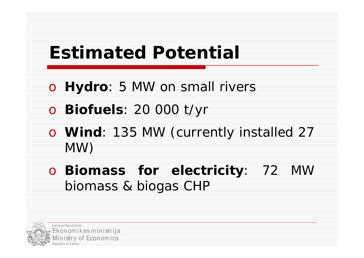# **Estimated Potential**

- o **Hydro**: 5 MW on small rivers
- o **Biofuels**: 20 000 t/yr
- o **Wind**: 135 MW (currently installed 27 MW)
- o **Biomass for electricity**: 72 MW biomass & biogas CHP

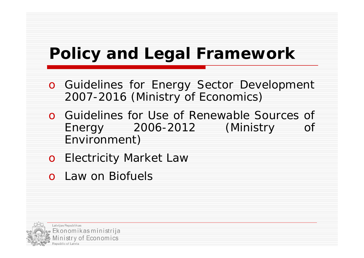#### **Policy and Legal Framework**

- o Guidelines for Energy Sector Development 2007-2016 (Ministry of Economics)
- o Guidelines for Use of Renewable Sources of Energy 2006-2012 (Ministry of Environment)
- o Electricity Market Law
- o Law on Biofuels

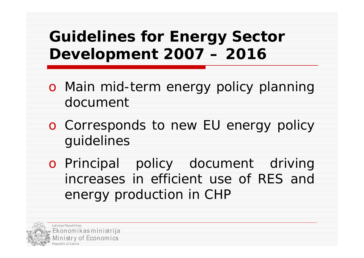**Guidelines for Energy Sector Development 2007 –2016**

- o Main mid-term energy policy planning document
- o Corresponds to new EU energy policy guidelines
- o Principal policy document driving increases in efficient use of RES and energy production in CHP

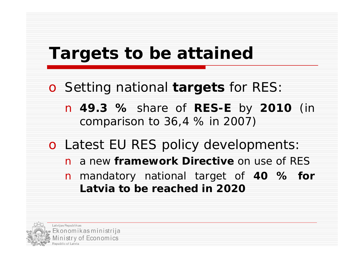#### **Targets to be attained**

o Setting national **targets** for RES:

n **49.3 %** share of **RES-E** by **2010** (in comparison to 36,4 % in 2007)

o Latest EU RES policy developments: n a new **framework Directive** on use of RES n mandatory national target of **40 % for Latvia to be reached in 2020**

Latvijas Republikas Ekonomikas ministrija istry of Economics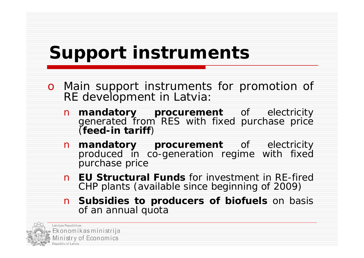# **Support instruments**

- o Main support instruments for promotion of RE development in Latvia:
	- n **mandatory procurement** of electricity generated from RES with fixed purchase price (**feed-in tariff**)
	- n **mandatory procurement** of electricity produced in co-generation regime with fixed purchase price
	- n **EU Structural Funds** for investment in RE-fired CHP plants (available since beginning of 2009)
	- n **Subsidies to producers of biofuels** on basis of an annual quota

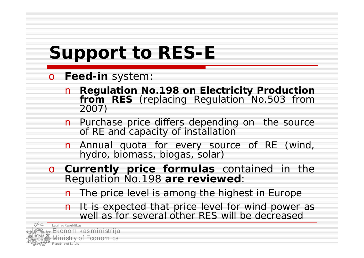# **Support to RES-E**

- o **Feed-in** system:
	- n **Regulation No.198 on Electricity Production** from RES (replacing Regulation No.503 from 2007)
	- n Purchase price differs depending on the source of RE and capacity of installation
	- n Annual quota for every source of RE (wind, hydro, biomass, biogas, solar)
- o **Currently price formulas** contained in the Regulation No.198 **are reviewed**:
	- n The price level is among the highest in Europe
	- n It is expected that price level for wind power as well as for several other RES will be decreased

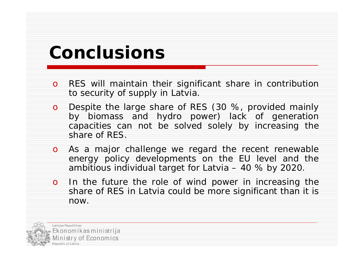### **Conclusions**

- o RES will maintain their significant share in contribution to security of supply in Latvia.
- o Despite the large share of RES (30 %, provided mainly by biomass and hydro power) lack of generation capacities can not be solved solely by increasing the share of RES.
- o As a major challenge we regard the recent renewable energy policy developments on the EU level and the ambitious individual target for Latvia –40 % by 2020.
- o In the future the role of wind power in increasing the share of RES in Latvia could be more significant than it is now.